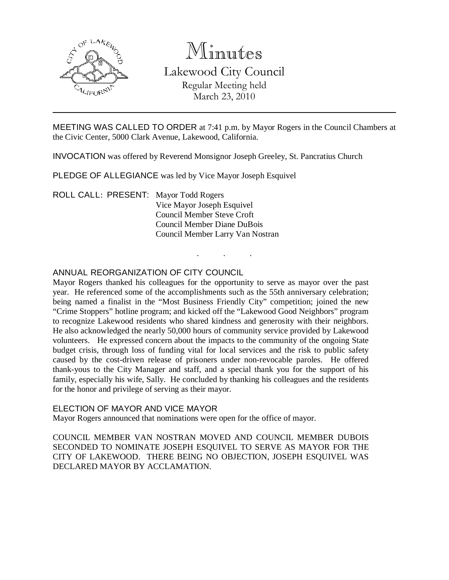

# Minutes

Lakewood City Council Regular Meeting held March 23, 2010

MEETING WAS CALLED TO ORDER at 7:41 p.m. by Mayor Rogers in the Council Chambers at the Civic Center, 5000 Clark Avenue, Lakewood, California.

. . .

INVOCATION was offered by Reverend Monsignor Joseph Greeley, St. Pancratius Church

PLEDGE OF ALLEGIANCE was led by Vice Mayor Joseph Esquivel

ROLL CALL: PRESENT: Mayor Todd Rogers Vice Mayor Joseph Esquivel Council Member Steve Croft Council Member Diane DuBois Council Member Larry Van Nostran

## ANNUAL REORGANIZATION OF CITY COUNCIL

Mayor Rogers thanked his colleagues for the opportunity to serve as mayor over the past year. He referenced some of the accomplishments such as the 55th anniversary celebration; being named a finalist in the "Most Business Friendly City" competition; joined the new "Crime Stoppers" hotline program; and kicked off the "Lakewood Good Neighbors" program to recognize Lakewood residents who shared kindness and generosity with their neighbors. He also acknowledged the nearly 50,000 hours of community service provided by Lakewood volunteers. He expressed concern about the impacts to the community of the ongoing State budget crisis, through loss of funding vital for local services and the risk to public safety caused by the cost-driven release of prisoners under non-revocable paroles. He offered thank-yous to the City Manager and staff, and a special thank you for the support of his family, especially his wife, Sally. He concluded by thanking his colleagues and the residents for the honor and privilege of serving as their mayor.

### ELECTION OF MAYOR AND VICE MAYOR

Mayor Rogers announced that nominations were open for the office of mayor.

COUNCIL MEMBER VAN NOSTRAN MOVED AND COUNCIL MEMBER DUBOIS SECONDED TO NOMINATE JOSEPH ESQUIVEL TO SERVE AS MAYOR FOR THE CITY OF LAKEWOOD. THERE BEING NO OBJECTION, JOSEPH ESQUIVEL WAS DECLARED MAYOR BY ACCLAMATION.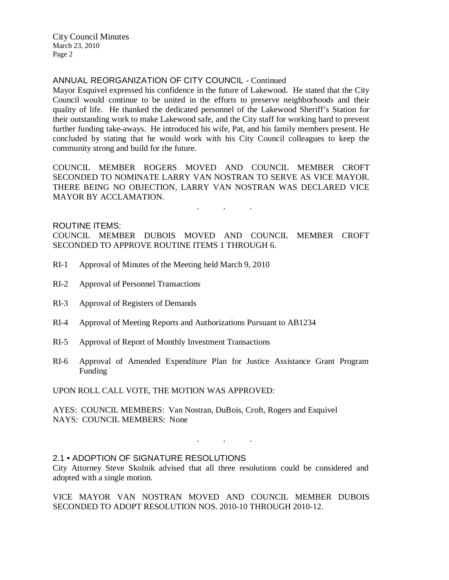City Council Minutes March 23, 2010 Page 2

## ANNUAL REORGANIZATION OF CITY COUNCIL - Continued

Mayor Esquivel expressed his confidence in the future of Lakewood. He stated that the City Council would continue to be united in the efforts to preserve neighborhoods and their quality of life. He thanked the dedicated personnel of the Lakewood Sheriff's Station for their outstanding work to make Lakewood safe, and the City staff for working hard to prevent further funding take-aways. He introduced his wife, Pat, and his family members present. He concluded by stating that he would work with his City Council colleagues to keep the community strong and build for the future.

COUNCIL MEMBER ROGERS MOVED AND COUNCIL MEMBER CROFT SECONDED TO NOMINATE LARRY VAN NOSTRAN TO SERVE AS VICE MAYOR. THERE BEING NO OBJECTION, LARRY VAN NOSTRAN WAS DECLARED VICE MAYOR BY ACCLAMATION.

. . .

### ROUTINE ITEMS:

COUNCIL MEMBER DUBOIS MOVED AND COUNCIL MEMBER CROFT SECONDED TO APPROVE ROUTINE ITEMS 1 THROUGH 6.

- RI-1 Approval of Minutes of the Meeting held March 9, 2010
- RI-2 Approval of Personnel Transactions
- RI-3 Approval of Registers of Demands
- RI-4 Approval of Meeting Reports and Authorizations Pursuant to AB1234
- RI-5 Approval of Report of Monthly Investment Transactions
- RI-6 Approval of Amended Expenditure Plan for Justice Assistance Grant Program Funding

UPON ROLL CALL VOTE, THE MOTION WAS APPROVED:

AYES: COUNCIL MEMBERS: Van Nostran, DuBois, Croft, Rogers and Esquivel NAYS: COUNCIL MEMBERS: None

### 2.1 • ADOPTION OF SIGNATURE RESOLUTIONS

City Attorney Steve Skolnik advised that all three resolutions could be considered and adopted with a single motion.

. . .

VICE MAYOR VAN NOSTRAN MOVED AND COUNCIL MEMBER DUBOIS SECONDED TO ADOPT RESOLUTION NOS. 2010-10 THROUGH 2010-12.